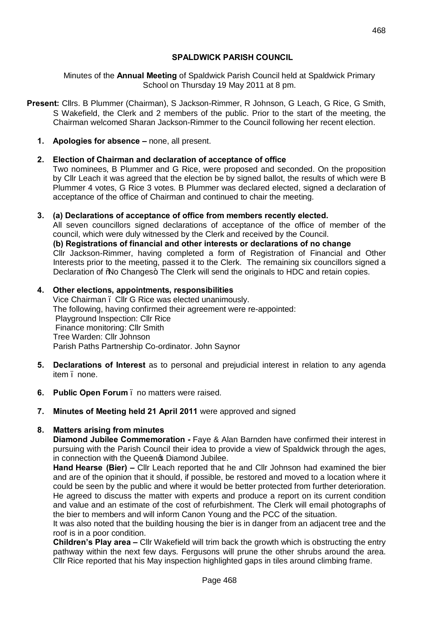# **SPALDWICK PARISH COUNCIL**

Minutes of the **Annual Meeting** of Spaldwick Parish Council held at Spaldwick Primary School on Thursday 19 May 2011 at 8 pm.

- **Present:** Cllrs. B Plummer (Chairman), S Jackson-Rimmer, R Johnson, G Leach, G Rice, G Smith, S Wakefield, the Clerk and 2 members of the public. Prior to the start of the meeting, the Chairman welcomed Sharan Jackson-Rimmer to the Council following her recent election.
	- **1. Apologies for absence –** none, all present.

# **2. Election of Chairman and declaration of acceptance of office**

Two nominees, B Plummer and G Rice, were proposed and seconded. On the proposition by Cllr Leach it was agreed that the election be by signed ballot, the results of which were B Plummer 4 votes, G Rice 3 votes. B Plummer was declared elected, signed a declaration of acceptance of the office of Chairman and continued to chair the meeting.

# **3. (a) Declarations of acceptance of office from members recently elected.**

All seven councillors signed declarations of acceptance of the office of member of the council, which were duly witnessed by the Clerk and received by the Council.

**(b) Registrations of financial and other interests or declarations of no change**

Cllr Jackson-Rimmer, having completed a form of Registration of Financial and Other Interests prior to the meeting, passed it to the Clerk. The remaining six councillors signed a Declaration of %No Changes+. The Clerk will send the originals to HDC and retain copies.

# **4. Other elections, appointments, responsibilities**

Vice Chairman – Cllr G Rice was elected unanimously. The following, having confirmed their agreement were re-appointed: Playground Inspection: Cllr Rice Finance monitoring: Cllr Smith Tree Warden: Cllr Johnson Parish Paths Partnership Co-ordinator. John Saynor

- **5. Declarations of Interest** as to personal and prejudicial interest in relation to any agenda item . none.
- **6. Public Open Forum** no matters were raised.
- **7. Minutes of Meeting held 21 April 2011** were approved and signed

# **8. Matters arising from minutes**

**Diamond Jubilee Commemoration -** Faye & Alan Barnden have confirmed their interest in pursuing with the Parish Council their idea to provide a view of Spaldwick through the ages, in connection with the Queen<sup>®</sup> Diamond Jubilee.

**Hand Hearse (Bier) –** Cllr Leach reported that he and Cllr Johnson had examined the bier and are of the opinion that it should, if possible, be restored and moved to a location where it could be seen by the public and where it would be better protected from further deterioration. He agreed to discuss the matter with experts and produce a report on its current condition and value and an estimate of the cost of refurbishment. The Clerk will email photographs of the bier to members and will inform Canon Young and the PCC of the situation.

It was also noted that the building housing the bier is in danger from an adjacent tree and the roof is in a poor condition.

**Children's Play area –** Cllr Wakefield will trim back the growth which is obstructing the entry pathway within the next few days. Fergusons will prune the other shrubs around the area. Cllr Rice reported that his May inspection highlighted gaps in tiles around climbing frame.